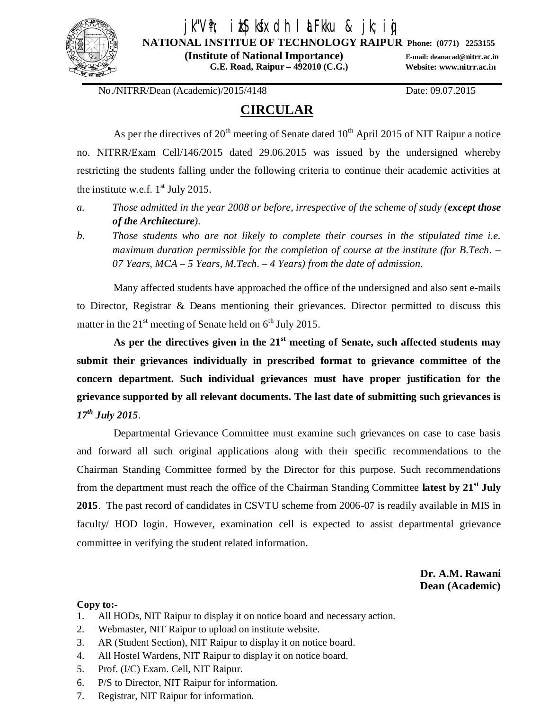

# jk"V'h; ikS|kfxdh laLFkku & jk;ig

**NATIONAL INSTITUE OF TECHNOLOGY RAIPUR Phone: (0771) 2253155**

 **(Institute of National Importance) E-mail: deanacad@nitrr.ac.in G.E. Road, Raipur – 492010 (C.G.) Website: www.nitrr.ac.in**

No./NITRR/Dean (Academic)/2015/4148 Date: 09.07.2015

# **CIRCULAR**

As per the directives of  $20<sup>th</sup>$  meeting of Senate dated  $10<sup>th</sup>$  April 2015 of NIT Raipur a notice no. NITRR/Exam Cell/146/2015 dated 29.06.2015 was issued by the undersigned whereby restricting the students falling under the following criteria to continue their academic activities at the institute w.e.f.  $1<sup>st</sup>$  July 2015.

- *a. Those admitted in the year 2008 or before, irrespective of the scheme of study (except those of the Architecture).*
- *b. Those students who are not likely to complete their courses in the stipulated time i.e. maximum duration permissible for the completion of course at the institute (for B.Tech. – 07 Years, MCA – 5 Years, M.Tech. – 4 Years) from the date of admission.*

Many affected students have approached the office of the undersigned and also sent e-mails to Director, Registrar & Deans mentioning their grievances. Director permitted to discuss this matter in the  $21<sup>st</sup>$  meeting of Senate held on  $6<sup>th</sup>$  July 2015.

**As per the directives given in the 21st meeting of Senate, such affected students may submit their grievances individually in prescribed format to grievance committee of the concern department. Such individual grievances must have proper justification for the grievance supported by all relevant documents. The last date of submitting such grievances is**  *17 th July 2015.*

Departmental Grievance Committee must examine such grievances on case to case basis and forward all such original applications along with their specific recommendations to the Chairman Standing Committee formed by the Director for this purpose. Such recommendations from the department must reach the office of the Chairman Standing Committee **latest by 21st July 2015**. The past record of candidates in CSVTU scheme from 2006-07 is readily available in MIS in faculty/ HOD login. However, examination cell is expected to assist departmental grievance committee in verifying the student related information.

> **Dr. A.M. Rawani Dean (Academic)**

#### **Copy to:-**

- 1. All HODs, NIT Raipur to display it on notice board and necessary action.
- 2. Webmaster, NIT Raipur to upload on institute website.
- 3. AR (Student Section), NIT Raipur to display it on notice board.
- 4. All Hostel Wardens, NIT Raipur to display it on notice board.
- 5. Prof. (I/C) Exam. Cell, NIT Raipur.
- 6. P/S to Director, NIT Raipur for information.
- 7. Registrar, NIT Raipur for information.